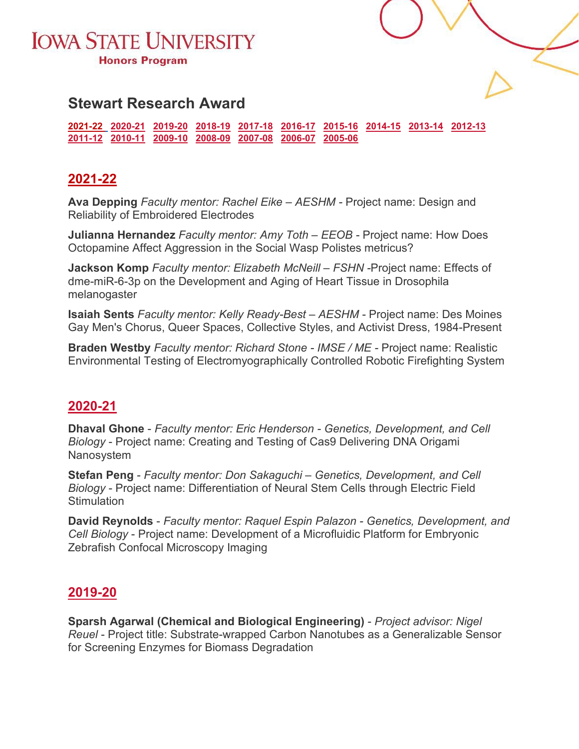



## **Stewart Research Award**

**[2021-22](#page-0-0) [2020-21](#page-0-1) [2019-20](#page-0-2) [2018-19](#page-1-0) [2017-18](#page-2-0) [2016-17](#page-2-1) [2015-16](#page-3-0) [2014-15](#page-4-0) [2013-14](#page-4-1) [2012-13](#page-4-2)  [2011-12](#page-5-0) [2010-11](#page-5-1) [2009-10](#page-6-0) [2008-09](#page-6-1) [2007-08](#page-6-2) [2006-07](#page-7-0) [2005-06](#page-7-1)**

### <span id="page-0-0"></span>**2021-22**

<span id="page-0-1"></span>**Ava Depping** *Faculty mentor: Rachel Eike – AESHM -* Project name: Design and Reliability of Embroidered Electrodes

**Julianna Hernandez** *Faculty mentor: Amy Toth – EEOB -* Project name: How Does Octopamine Affect Aggression in the Social Wasp Polistes metricus?

**Jackson Komp** *Faculty mentor: Elizabeth McNeill – FSHN -*Project name: Effects of dme-miR-6-3p on the Development and Aging of Heart Tissue in Drosophila melanogaster

**Isaiah Sents** *Faculty mentor: Kelly Ready-Best – AESHM -* Project name: Des Moines Gay Men's Chorus, Queer Spaces, Collective Styles, and Activist Dress, 1984-Present

**Braden Westby** *Faculty mentor: Richard Stone - IMSE / ME -* Project name: Realistic Environmental Testing of Electromyographically Controlled Robotic Firefighting System

### **2020-21**

**Dhaval Ghone** - *Faculty mentor: Eric Henderson - Genetics, Development, and Cell Biology* - Project name: Creating and Testing of Cas9 Delivering DNA Origami Nanosystem

**Stefan Peng** - *Faculty mentor: Don Sakaguchi – Genetics, Development, and Cell Biology* - Project name: Differentiation of Neural Stem Cells through Electric Field **Stimulation** 

**David Reynolds** - *Faculty mentor: Raquel Espin Palazon - Genetics, Development, and Cell Biology* - Project name: Development of a Microfluidic Platform for Embryonic Zebrafish Confocal Microscopy Imaging

### <span id="page-0-2"></span>**2019-20**

**Sparsh Agarwal (Chemical and Biological Engineering)** - *Project advisor: Nigel Reuel* - Project title: Substrate-wrapped Carbon Nanotubes as a Generalizable Sensor for Screening Enzymes for Biomass Degradation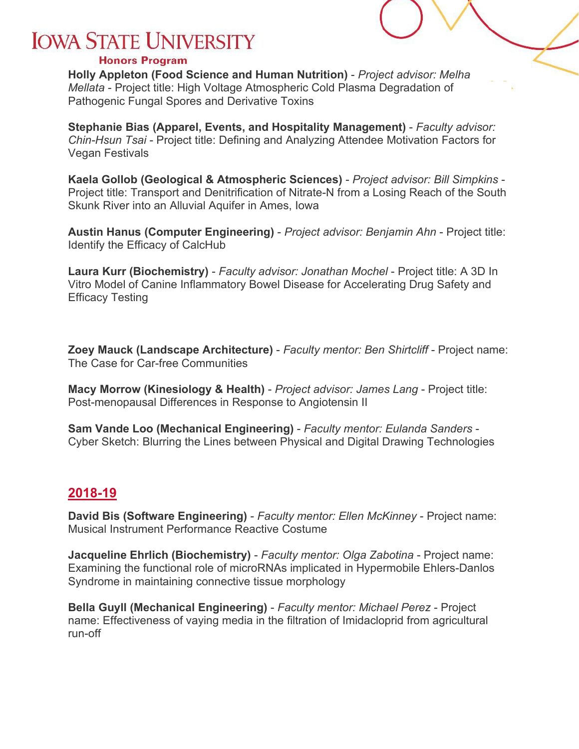#### **Honors Program**

**Holly Appleton (Food Science and Human Nutrition)** - *Project advisor: Melha Mellata* - Project title: High Voltage Atmospheric Cold Plasma Degradation of Pathogenic Fungal Spores and Derivative Toxins

**Stephanie Bias (Apparel, Events, and Hospitality Management)** - *Faculty advisor: Chin-Hsun Tsai* - Project title: Defining and Analyzing Attendee Motivation Factors for Vegan Festivals

**Kaela Gollob (Geological & Atmospheric Sciences)** - *Project advisor: Bill Simpkins* - Project title: Transport and Denitrification of Nitrate-N from a Losing Reach of the South Skunk River into an Alluvial Aquifer in Ames, Iowa

**Austin Hanus (Computer Engineering)** - *Project advisor: Benjamin Ahn* - Project title: Identify the Efficacy of CalcHub

**Laura Kurr (Biochemistry)** - *Faculty advisor: Jonathan Mochel* - Project title: A 3D In Vitro Model of Canine Inflammatory Bowel Disease for Accelerating Drug Safety and Efficacy Testing

**Zoey Mauck (Landscape Architecture)** - *Faculty mentor: Ben Shirtcliff* - Project name: The Case for Car-free Communities

**Macy Morrow (Kinesiology & Health)** - *Project advisor: James Lang* - Project title: Post-menopausal Differences in Response to Angiotensin II

**Sam Vande Loo (Mechanical Engineering)** - *Faculty mentor: Eulanda Sanders* - Cyber Sketch: Blurring the Lines between Physical and Digital Drawing Technologies

### <span id="page-1-0"></span>**2018-19**

**David Bis (Software Engineering)** - *Faculty mentor: Ellen McKinney* - Project name: Musical Instrument Performance Reactive Costume

**Jacqueline Ehrlich (Biochemistry)** - *Faculty mentor: Olga Zabotina* - Project name: Examining the functional role of microRNAs implicated in Hypermobile Ehlers-Danlos Syndrome in maintaining connective tissue morphology

**Bella Guyll (Mechanical Engineering)** - *Faculty mentor: Michael Perez* - Project name: Effectiveness of vaying media in the filtration of Imidacloprid from agricultural run-off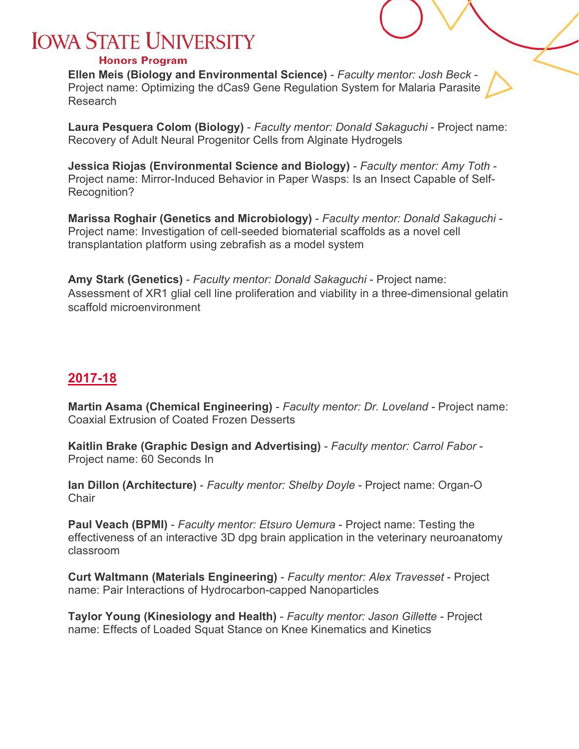#### **Honors Program**

**Ellen Meis (Biology and Environmental Science)** - *Faculty mentor: Josh Beck* - Project name: Optimizing the dCas9 Gene Regulation System for Malaria Parasite Research

**Laura Pesquera Colom (Biology)** - *Faculty mentor: Donald Sakaguchi* - Project name: Recovery of Adult Neural Progenitor Cells from Alginate Hydrogels

**Jessica Riojas (Environmental Science and Biology)** - *Faculty mentor: Amy Toth* - Project name: Mirror-Induced Behavior in Paper Wasps: Is an Insect Capable of Self-Recognition?

**Marissa Roghair (Genetics and Microbiology)** - *Faculty mentor: Donald Sakaguchi* - Project name: Investigation of cell-seeded biomaterial scaffolds as a novel cell transplantation platform using zebrafish as a model system

**Amy Stark (Genetics)** - *Faculty mentor: Donald Sakaguchi* - Project name: Assessment of XR1 glial cell line proliferation and viability in a three-dimensional gelatin scaffold microenvironment

## <span id="page-2-0"></span>**2017-18**

**Martin Asama (Chemical Engineering)** - *Faculty mentor: Dr. Loveland* - Project name: Coaxial Extrusion of Coated Frozen Desserts

**Kaitlin Brake (Graphic Design and Advertising)** - *Faculty mentor: Carrol Fabor* - Project name: 60 Seconds In

**Ian Dillon (Architecture)** - *Faculty mentor: Shelby Doyle* - Project name: Organ-O **Chair** 

**Paul Veach (BPMI)** - *Faculty mentor: Etsuro Uemura* - Project name: Testing the effectiveness of an interactive 3D dpg brain application in the veterinary neuroanatomy classroom

**Curt Waltmann (Materials Engineering)** - *Faculty mentor: Alex Travesset* - Project name: Pair Interactions of Hydrocarbon-capped Nanoparticles

<span id="page-2-1"></span>**Taylor Young (Kinesiology and Health)** - *Faculty mentor: Jason Gillette* - Project name: Effects of Loaded Squat Stance on Knee Kinematics and Kinetics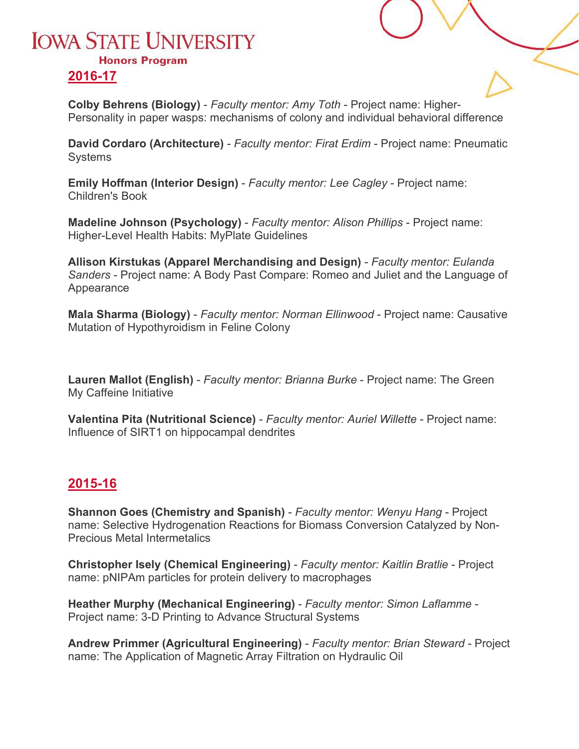## **IOWA STATE UNIVERSITY Honors Program**

### **2016-17**

**Colby Behrens (Biology)** - *Faculty mentor: Amy Toth* - Project name: Higher-Personality in paper wasps: mechanisms of colony and individual behavioral difference

**David Cordaro (Architecture)** - *Faculty mentor: Firat Erdim* - Project name: Pneumatic **Systems** 

**Emily Hoffman (Interior Design)** - *Faculty mentor: Lee Cagley* - Project name: Children's Book

**Madeline Johnson (Psychology)** - *Faculty mentor: Alison Phillips* - Project name: Higher-Level Health Habits: MyPlate Guidelines

**Allison Kirstukas (Apparel Merchandising and Design)** - *Faculty mentor: Eulanda Sanders* - Project name: A Body Past Compare: Romeo and Juliet and the Language of Appearance

**Mala Sharma (Biology)** - *Faculty mentor: Norman Ellinwood* - Project name: Causative Mutation of Hypothyroidism in Feline Colony

**Lauren Mallot (English)** - *Faculty mentor: Brianna Burke* - Project name: The Green My Caffeine Initiative

**Valentina Pita (Nutritional Science)** - *Faculty mentor: Auriel Willette* - Project name: Influence of SIRT1 on hippocampal dendrites

### <span id="page-3-0"></span>**2015-16**

**Shannon Goes (Chemistry and Spanish)** - *Faculty mentor: Wenyu Hang* - Project name: Selective Hydrogenation Reactions for Biomass Conversion Catalyzed by Non-Precious Metal Intermetalics

**Christopher Isely (Chemical Engineering)** - *Faculty mentor: Kaitlin Bratlie* - Project name: pNIPAm particles for protein delivery to macrophages

**Heather Murphy (Mechanical Engineering)** - *Faculty mentor: Simon Laflamme* - Project name: 3-D Printing to Advance Structural Systems

**Andrew Primmer (Agricultural Engineering)** - *Faculty mentor: Brian Steward* - Project name: The Application of Magnetic Array Filtration on Hydraulic Oil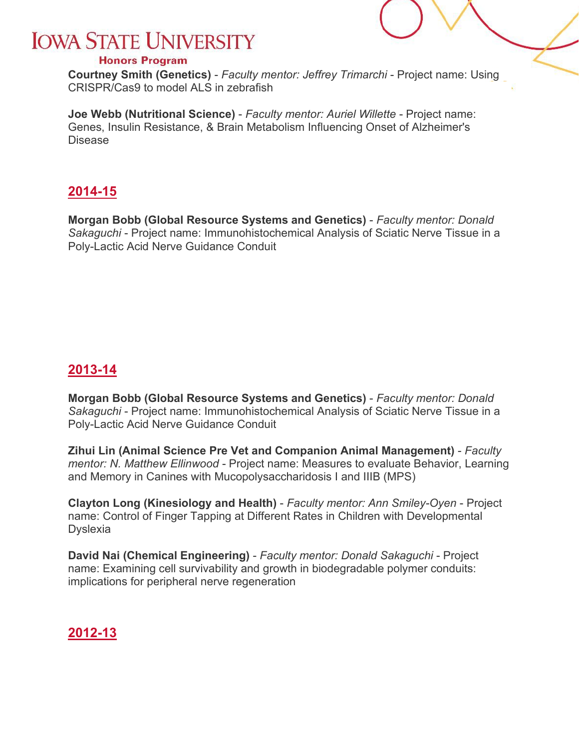#### **Honors Program**

**Courtney Smith (Genetics)** - *Faculty mentor: Jeffrey Trimarchi* - Project name: Using CRISPR/Cas9 to model ALS in zebrafish

**Joe Webb (Nutritional Science)** - *Faculty mentor: Auriel Willette* - Project name: Genes, Insulin Resistance, & Brain Metabolism Influencing Onset of Alzheimer's Disease

### <span id="page-4-0"></span>**2014-15**

**Morgan Bobb (Global Resource Systems and Genetics)** - *Faculty mentor: Donald Sakaguchi* - Project name: Immunohistochemical Analysis of Sciatic Nerve Tissue in a Poly-Lactic Acid Nerve Guidance Conduit

### <span id="page-4-1"></span>**2013-14**

**Morgan Bobb (Global Resource Systems and Genetics)** - *Faculty mentor: Donald Sakaguchi* - Project name: Immunohistochemical Analysis of Sciatic Nerve Tissue in a Poly-Lactic Acid Nerve Guidance Conduit

**Zihui Lin (Animal Science Pre Vet and Companion Animal Management)** - *Faculty mentor: N. Matthew Ellinwood* - Project name: Measures to evaluate Behavior, Learning and Memory in Canines with Mucopolysaccharidosis I and IIIB (MPS)

**Clayton Long (Kinesiology and Health)** - *Faculty mentor: Ann Smiley-Oyen* - Project name: Control of Finger Tapping at Different Rates in Children with Developmental Dyslexia

**David Nai (Chemical Engineering)** - *Faculty mentor: Donald Sakaguchi* - Project name: Examining cell survivability and growth in biodegradable polymer conduits: implications for peripheral nerve regeneration

### <span id="page-4-2"></span>**2012-13**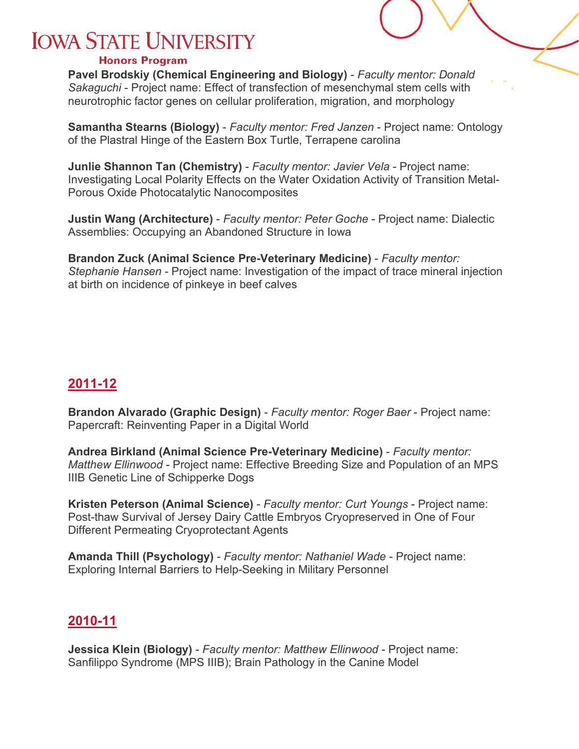#### **Honors Program**

**Pavel Brodskiy (Chemical Engineering and Biology)** - *Faculty mentor: Donald Sakaguchi* - Project name: Effect of transfection of mesenchymal stem cells with neurotrophic factor genes on cellular proliferation, migration, and morphology

**Samantha Stearns (Biology)** - *Faculty mentor: Fred Janzen* - Project name: Ontology of the Plastral Hinge of the Eastern Box Turtle, Terrapene carolina

**Junlie Shannon Tan (Chemistry)** - *Faculty mentor: Javier Vela* - Project name: Investigating Local Polarity Effects on the Water Oxidation Activity of Transition Metal-Porous Oxide Photocatalytic Nanocomposites

**Justin Wang (Architecture)** - *Faculty mentor: Peter Goche* - Project name: Dialectic Assemblies: Occupying an Abandoned Structure in Iowa

<span id="page-5-0"></span>**Brandon Zuck (Animal Science Pre-Veterinary Medicine)** - *Faculty mentor: Stephanie Hansen* - Project name: Investigation of the impact of trace mineral injection at birth on incidence of pinkeye in beef calves

### **2011-12**

**Brandon Alvarado (Graphic Design)** - *Faculty mentor: Roger Baer* - Project name: Papercraft: Reinventing Paper in a Digital World

**Andrea Birkland (Animal Science Pre-Veterinary Medicine)** - *Faculty mentor: Matthew Ellinwood* - Project name: Effective Breeding Size and Population of an MPS IIIB Genetic Line of Schipperke Dogs

**Kristen Peterson (Animal Science)** - *Faculty mentor: Curt Youngs* - Project name: Post-thaw Survival of Jersey Dairy Cattle Embryos Cryopreserved in One of Four Different Permeating Cryoprotectant Agents

**Amanda Thill (Psychology)** - *Faculty mentor: Nathaniel Wade* - Project name: Exploring Internal Barriers to Help-Seeking in Military Personnel

### <span id="page-5-1"></span>**2010-11**

**Jessica Klein (Biology)** - *Faculty mentor: Matthew Ellinwood* - Project name: Sanfilippo Syndrome (MPS IIIB); Brain Pathology in the Canine Model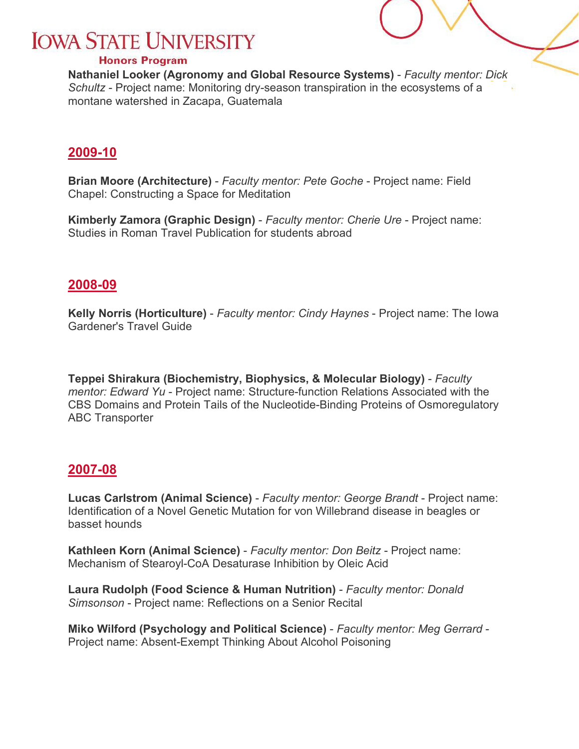#### **Honors Program**

**Nathaniel Looker (Agronomy and Global Resource Systems)** - *Faculty mentor: Dick Schultz* - Project name: Monitoring dry-season transpiration in the ecosystems of a montane watershed in Zacapa, Guatemala

### <span id="page-6-0"></span>**2009-10**

**Brian Moore (Architecture)** - *Faculty mentor: Pete Goche* - Project name: Field Chapel: Constructing a Space for Meditation

**Kimberly Zamora (Graphic Design)** - *Faculty mentor: Cherie Ure* - Project name: Studies in Roman Travel Publication for students abroad

### <span id="page-6-1"></span>**2008-09**

**Kelly Norris (Horticulture)** - *Faculty mentor: Cindy Haynes* - Project name: The Iowa Gardener's Travel Guide

**Teppei Shirakura (Biochemistry, Biophysics, & Molecular Biology)** - *Faculty mentor: Edward Yu* - Project name: Structure-function Relations Associated with the CBS Domains and Protein Tails of the Nucleotide-Binding Proteins of Osmoregulatory ABC Transporter

### <span id="page-6-2"></span>**2007-08**

**Lucas Carlstrom (Animal Science)** - *Faculty mentor: George Brandt* - Project name: Identification of a Novel Genetic Mutation for von Willebrand disease in beagles or basset hounds

**Kathleen Korn (Animal Science)** - *Faculty mentor: Don Beitz* - Project name: Mechanism of Stearoyl-CoA Desaturase Inhibition by Oleic Acid

**Laura Rudolph (Food Science & Human Nutrition)** - *Faculty mentor: Donald Simsonson* - Project name: Reflections on a Senior Recital

**Miko Wilford (Psychology and Political Science)** - *Faculty mentor: Meg Gerrard* - Project name: Absent-Exempt Thinking About Alcohol Poisoning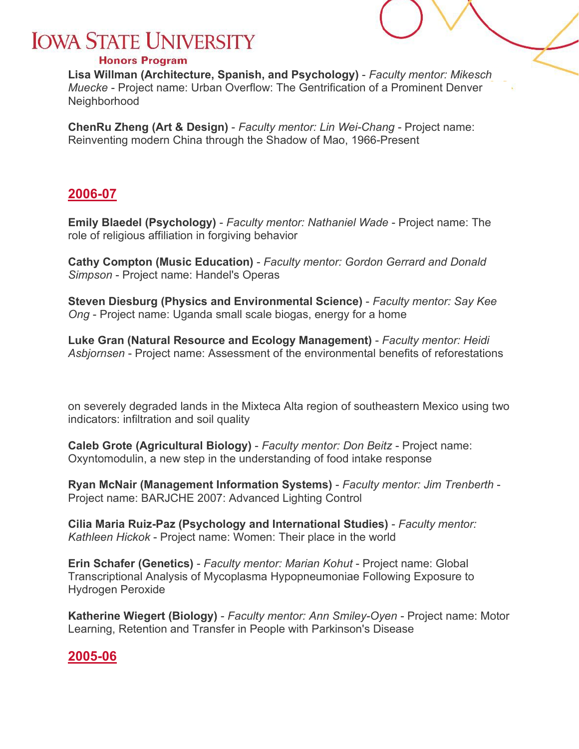#### **Honors Program**

**Lisa Willman (Architecture, Spanish, and Psychology)** - *Faculty mentor: Mikesch Muecke* - Project name: Urban Overflow: The Gentrification of a Prominent Denver Neighborhood

**ChenRu Zheng (Art & Design)** - *Faculty mentor: Lin Wei-Chang* - Project name: Reinventing modern China through the Shadow of Mao, 1966-Present

### <span id="page-7-0"></span>**2006-07**

**Emily Blaedel (Psychology)** - *Faculty mentor: Nathaniel Wade* - Project name: The role of religious affiliation in forgiving behavior

**Cathy Compton (Music Education)** - *Faculty mentor: Gordon Gerrard and Donald Simpson* - Project name: Handel's Operas

**Steven Diesburg (Physics and Environmental Science)** - *Faculty mentor: Say Kee Ong* - Project name: Uganda small scale biogas, energy for a home

**Luke Gran (Natural Resource and Ecology Management)** - *Faculty mentor: Heidi Asbjornsen* - Project name: Assessment of the environmental benefits of reforestations

on severely degraded lands in the Mixteca Alta region of southeastern Mexico using two indicators: infiltration and soil quality

**Caleb Grote (Agricultural Biology)** - *Faculty mentor: Don Beitz* - Project name: Oxyntomodulin, a new step in the understanding of food intake response

**Ryan McNair (Management Information Systems)** - *Faculty mentor: Jim Trenberth* - Project name: BARJCHE 2007: Advanced Lighting Control

**Cilia Maria Ruiz-Paz (Psychology and International Studies)** - *Faculty mentor: Kathleen Hickok* - Project name: Women: Their place in the world

**Erin Schafer (Genetics)** - *Faculty mentor: Marian Kohut* - Project name: Global Transcriptional Analysis of Mycoplasma Hypopneumoniae Following Exposure to Hydrogen Peroxide

<span id="page-7-1"></span>**Katherine Wiegert (Biology)** - *Faculty mentor: Ann Smiley-Oyen* - Project name: Motor Learning, Retention and Transfer in People with Parkinson's Disease

### **2005-06**